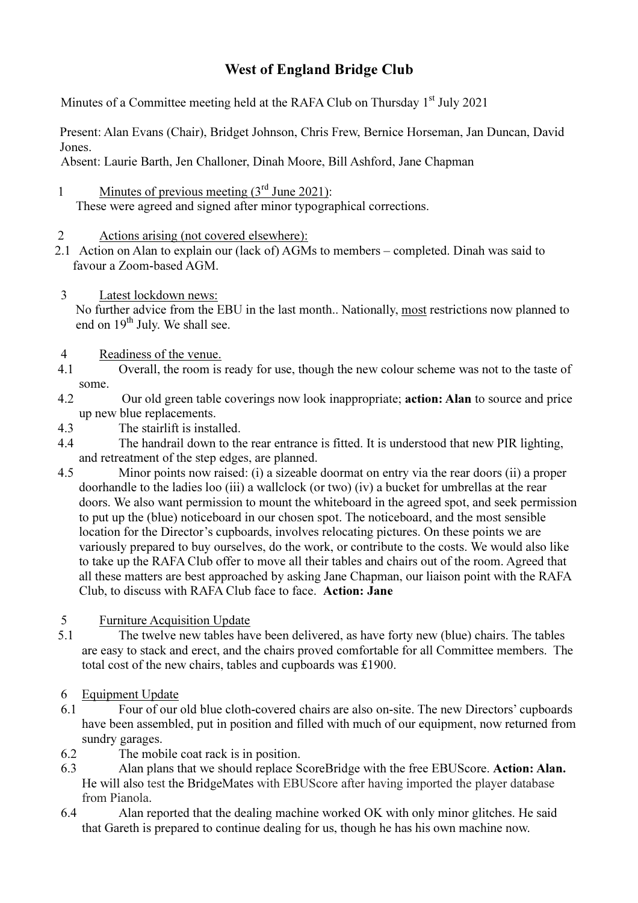## West of England Bridge Club

Minutes of a Committee meeting held at the RAFA Club on Thursday 1<sup>st</sup> July 2021

Present: Alan Evans (Chair), Bridget Johnson, Chris Frew, Bernice Horseman, Jan Duncan, David Jones.

Absent: Laurie Barth, Jen Challoner, Dinah Moore, Bill Ashford, Jane Chapman

- 1 Minutes of previous meeting  $(3<sup>rd</sup>$  June 2021): These were agreed and signed after minor typographical corrections.
- 2 Actions arising (not covered elsewhere):
- 2.1 Action on Alan to explain our (lack of) AGMs to members completed. Dinah was said to favour a Zoom-based AGM.
- 3 Latest lockdown news:

No further advice from the EBU in the last month.. Nationally, most restrictions now planned to end on 19<sup>th</sup> July. We shall see.

- 4 Readiness of the venue.
- 4.1 Overall, the room is ready for use, though the new colour scheme was not to the taste of some.
- 4.2 Our old green table coverings now look inappropriate; action: Alan to source and price up new blue replacements.
- 4.3 The stairlift is installed.
- 4.4 The handrail down to the rear entrance is fitted. It is understood that new PIR lighting, and retreatment of the step edges, are planned.
- 4.5 Minor points now raised: (i) a sizeable doormat on entry via the rear doors (ii) a proper doorhandle to the ladies loo (iii) a wallclock (or two) (iv) a bucket for umbrellas at the rear doors. We also want permission to mount the whiteboard in the agreed spot, and seek permission to put up the (blue) noticeboard in our chosen spot. The noticeboard, and the most sensible location for the Director's cupboards, involves relocating pictures. On these points we are variously prepared to buy ourselves, do the work, or contribute to the costs. We would also like to take up the RAFA Club offer to move all their tables and chairs out of the room. Agreed that all these matters are best approached by asking Jane Chapman, our liaison point with the RAFA Club, to discuss with RAFA Club face to face. Action: Jane
- 5 Furniture Acquisition Update
- 5.1 The twelve new tables have been delivered, as have forty new (blue) chairs. The tables are easy to stack and erect, and the chairs proved comfortable for all Committee members. The total cost of the new chairs, tables and cupboards was £1900.
- 6 Equipment Update
- 6.1 Four of our old blue cloth-covered chairs are also on-site. The new Directors' cupboards have been assembled, put in position and filled with much of our equipment, now returned from sundry garages.
- 6.2 The mobile coat rack is in position.
- 6.3 Alan plans that we should replace ScoreBridge with the free EBUScore. Action: Alan. He will also test the BridgeMates with EBUScore after having imported the player database from Pianola.
- 6.4 Alan reported that the dealing machine worked OK with only minor glitches. He said that Gareth is prepared to continue dealing for us, though he has his own machine now.